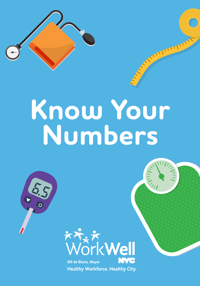

# **Know Your Numbers**



**Healthy Workforce. Healthy City.**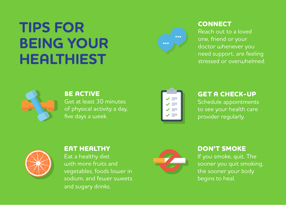## **TIPS FOR BEING YOUR HEALTHIEST**



#### **CONNECT**

Reach out to a loved one, friend or your doctor whenever you need support, are feeling stressed or overwhelmed.



**BE ACTIVE** Get at least 30 minutes of physical activity a day, five days a week.



#### **GET A CHECK-UP**

Schedule appointments to see your health care provider regularly.



#### **EAT HEALTHY**

Eat a healthy diet with more fruits and vegetables, foods lower in sodium, and fewer sweets and sugary drinks.



#### **DON'T SMOKE**

If you smoke, quit. The sooner you quit smoking, the sooner your body begins to heal.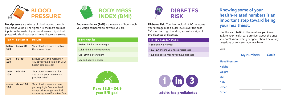

**Blood pressure** is the force of blood moving through your blood vessels. The higher it is, the more pressure it puts on the inside of your blood vessels. High blood pressure is a leading cause of heart disease and stroke.

| Top#           | Bottom #   | <b>Results</b>                                                                                                                      |
|----------------|------------|-------------------------------------------------------------------------------------------------------------------------------------|
| below<br>120   | below 80   | Your blood pressure is within<br>the normal range.                                                                                  |
| $120 -$<br>139 | 80-89      | Discuss what this means for<br>you at your next visit with your<br>health care provider.                                            |
| $140 -$<br>179 | $90 - 109$ | Your blood pressure is high.<br>See or call your health care<br>provider ASAP.                                                      |
| above<br>180   | above 110  | Your blood pressure is dan-<br>gerously high. See your health<br>care provider or get medical<br>care today, even if you feel fine. |



**Body mass index (BMI)** is a measure of how much you weigh compared to how tall you are.

| A BMI that is:                     |
|------------------------------------|
| $\cdot$ below 18.5 is underweight  |
| $\cdot$ 18.5-24.9 is normal weight |
| · 25-29.9 is overweight            |

• **30** and above is obese



**Make 18.5 - 24.9 your BMI goal**



**Diabetes Risk.** Your Hemoglobin A1C measures your average blood sugar levels over the past 2-3 months. High blood sugar can be a sign of pre-diabetes or diabetes.

#### **An A1C number that is:**

• **below 5.7** is normal

• **5.7-6.4** means you have prediabetes

• **6.5** and above means you have diabetes



**adults has prediabetes**

**Knowing some of your health-related numbers is an important step toward being your healthiest.**

**Use this card to fill in the numbers you know.**  Talk to your health care provider about the ones you don't know, what your goals should be or any questions or concerns you may have.

Date

|       | <b>My Numbers</b> | Goals |  |
|-------|-------------------|-------|--|
| ssure |                   |       |  |

| <b>Blood Pressure</b> |  |
|-----------------------|--|
| <b>Height</b>         |  |
| Weight                |  |
| <b>BMI</b>            |  |
| A1C                   |  |
| <b>Other</b>          |  |
| <b>Other</b>          |  |